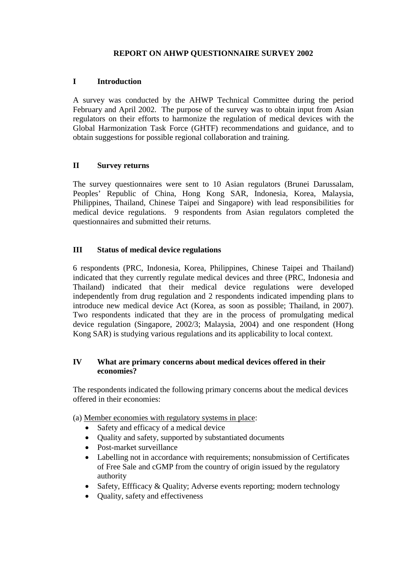# **REPORT ON AHWP QUESTIONNAIRE SURVEY 2002**

### **I Introduction**

A survey was conducted by the AHWP Technical Committee during the period February and April 2002. The purpose of the survey was to obtain input from Asian regulators on their efforts to harmonize the regulation of medical devices with the Global Harmonization Task Force (GHTF) recommendations and guidance, and to obtain suggestions for possible regional collaboration and training.

### **II Survey returns**

The survey questionnaires were sent to 10 Asian regulators (Brunei Darussalam, Peoples' Republic of China, Hong Kong SAR, Indonesia, Korea, Malaysia, Philippines, Thailand, Chinese Taipei and Singapore) with lead responsibilities for medical device regulations. 9 respondents from Asian regulators completed the questionnaires and submitted their returns.

### **III Status of medical device regulations**

6 respondents (PRC, Indonesia, Korea, Philippines, Chinese Taipei and Thailand) indicated that they currently regulate medical devices and three (PRC, Indonesia and Thailand) indicated that their medical device regulations were developed independently from drug regulation and 2 respondents indicated impending plans to introduce new medical device Act (Korea, as soon as possible; Thailand, in 2007). Two respondents indicated that they are in the process of promulgating medical device regulation (Singapore, 2002/3; Malaysia, 2004) and one respondent (Hong Kong SAR) is studying various regulations and its applicability to local context.

# **IV What are primary concerns about medical devices offered in their economies?**

The respondents indicated the following primary concerns about the medical devices offered in their economies:

- (a) Member economies with regulatory systems in place:
	- Safety and efficacy of a medical device
	- Ouality and safety, supported by substantiated documents
	- Post-market surveillance
	- Labelling not in accordance with requirements; nonsubmission of Certificates of Free Sale and cGMP from the country of origin issued by the regulatory authority
	- Safety, Effficacy & Quality; Adverse events reporting; modern technology
	- Quality, safety and effectiveness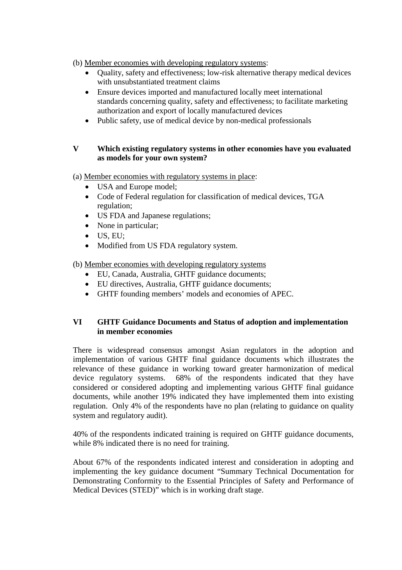- (b) Member economies with developing regulatory systems:
	- Quality, safety and effectiveness; low-risk alternative therapy medical devices with unsubstantiated treatment claims
	- Ensure devices imported and manufactured locally meet international standards concerning quality, safety and effectiveness; to facilitate marketing authorization and export of locally manufactured devices
	- Public safety, use of medical device by non-medical professionals

# **V Which existing regulatory systems in other economies have you evaluated as models for your own system?**

- (a) Member economies with regulatory systems in place:
	- USA and Europe model;
	- Code of Federal regulation for classification of medical devices, TGA regulation;
	- US FDA and Japanese regulations;
	- None in particular;
	- $\bullet$  US, EU:
	- Modified from US FDA regulatory system.
- (b) Member economies with developing regulatory systems
	- EU, Canada, Australia, GHTF guidance documents;
	- EU directives, Australia, GHTF guidance documents;
	- GHTF founding members' models and economies of APEC.

### **VI GHTF Guidance Documents and Status of adoption and implementation in member economies**

There is widespread consensus amongst Asian regulators in the adoption and implementation of various GHTF final guidance documents which illustrates the relevance of these guidance in working toward greater harmonization of medical device regulatory systems. 68% of the respondents indicated that they have considered or considered adopting and implementing various GHTF final guidance documents, while another 19% indicated they have implemented them into existing regulation. Only 4% of the respondents have no plan (relating to guidance on quality system and regulatory audit).

40% of the respondents indicated training is required on GHTF guidance documents, while 8% indicated there is no need for training.

About 67% of the respondents indicated interest and consideration in adopting and implementing the key guidance document "Summary Technical Documentation for Demonstrating Conformity to the Essential Principles of Safety and Performance of Medical Devices (STED)" which is in working draft stage.